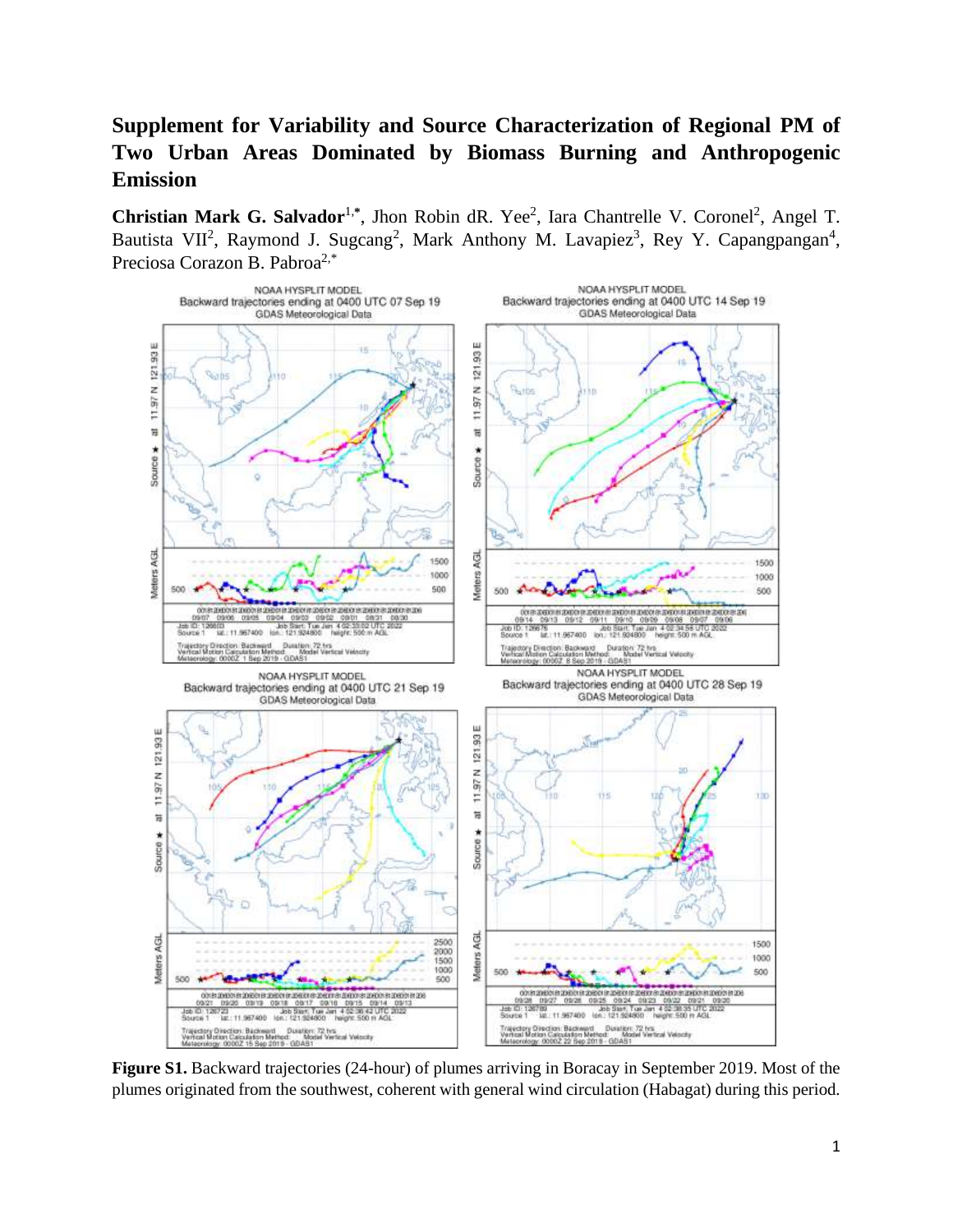## **Supplement for Variability and Source Characterization of Regional PM of Two Urban Areas Dominated by Biomass Burning and Anthropogenic Emission**

Christian Mark G. Salvador<sup>1,\*</sup>, Jhon Robin dR. Yee<sup>2</sup>, Iara Chantrelle V. Coronel<sup>2</sup>, Angel T. Bautista VII<sup>2</sup>, Raymond J. Sugcang<sup>2</sup>, Mark Anthony M. Lavapiez<sup>3</sup>, Rey Y. Capangpangan<sup>4</sup>, Preciosa Corazon B. Pabroa<sup>2,\*</sup>



**Figure S1.** Backward trajectories (24-hour) of plumes arriving in Boracay in September 2019. Most of the plumes originated from the southwest, coherent with general wind circulation (Habagat) during this period.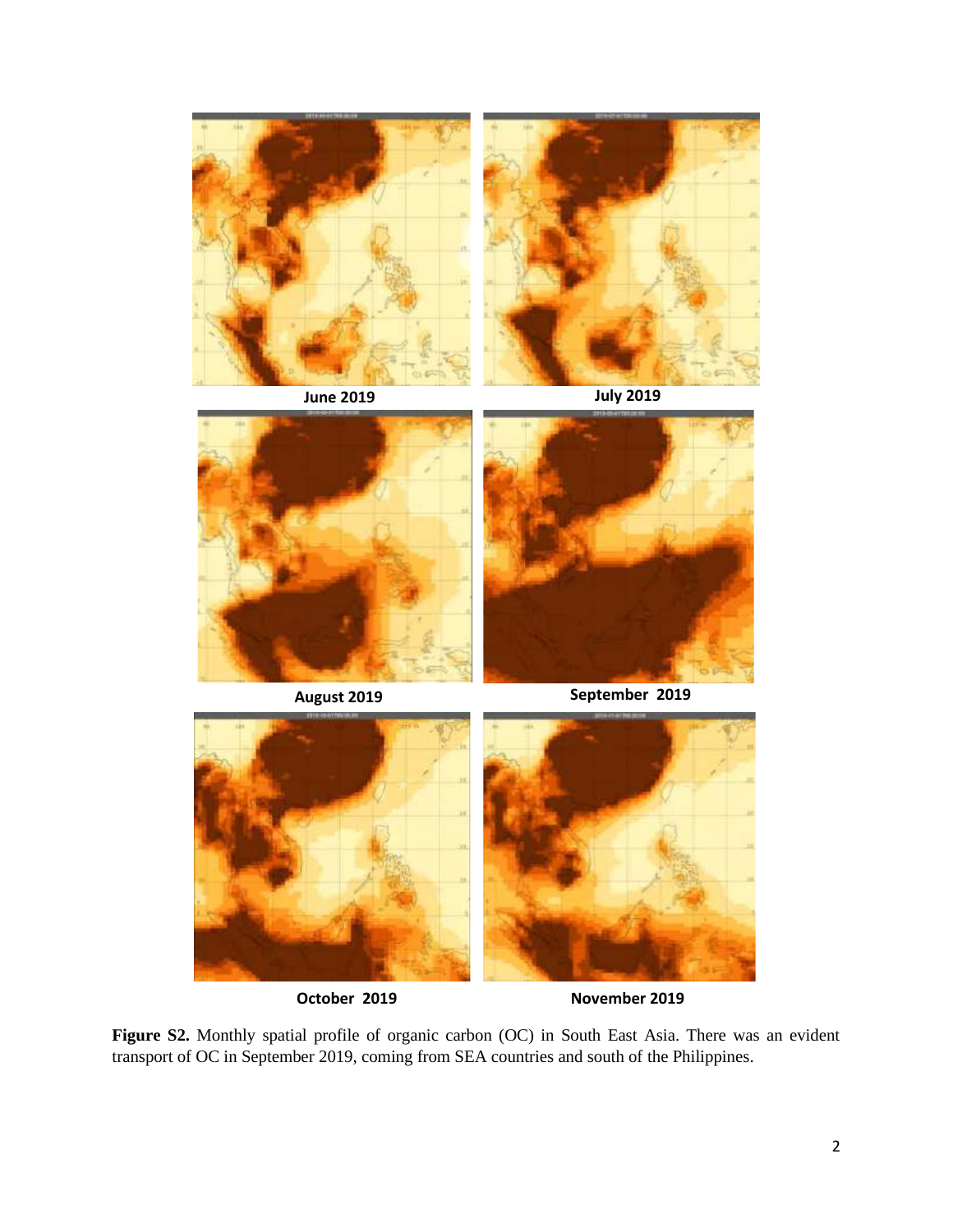



**August 2019 September 2019**



**Figure S2.** Monthly spatial profile of organic carbon (OC) in South East Asia. There was an evident transport of OC in September 2019, coming from SEA countries and south of the Philippines.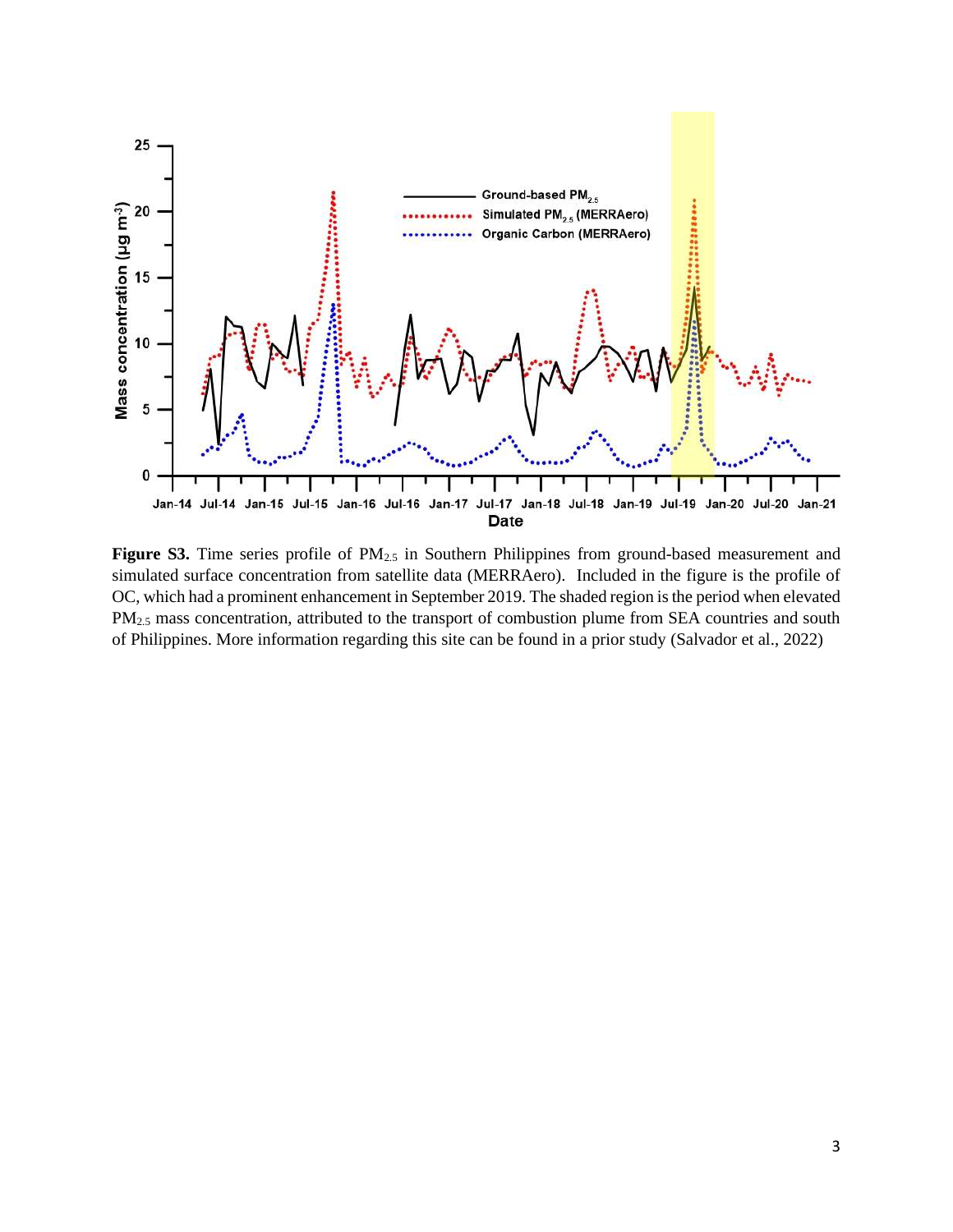

Figure S3. Time series profile of PM<sub>2.5</sub> in Southern Philippines from ground-based measurement and simulated surface concentration from satellite data (MERRAero). Included in the figure is the profile of OC, which had a prominent enhancement in September 2019. The shaded region is the period when elevated PM<sub>2.5</sub> mass concentration, attributed to the transport of combustion plume from SEA countries and south of Philippines. More information regarding this site can be found in a prior study (Salvador et al., 2022)